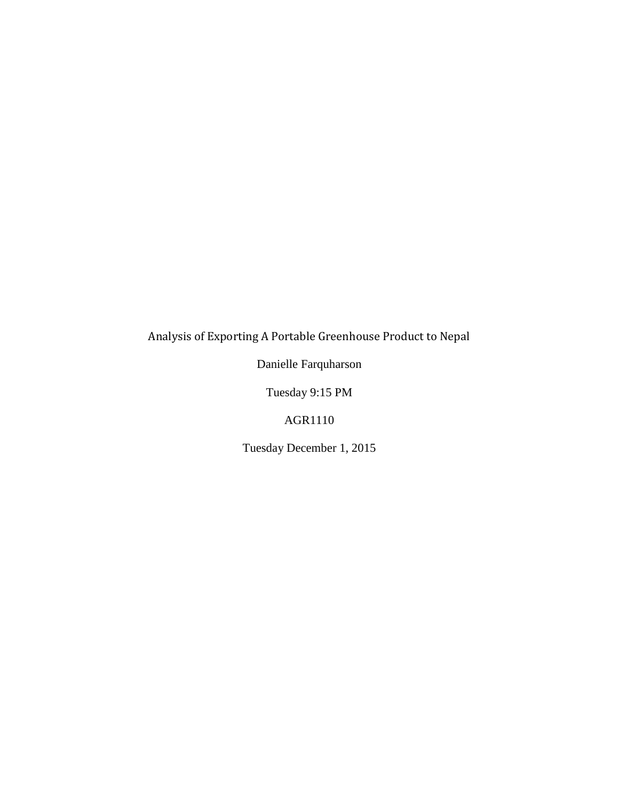## Analysis of Exporting A Portable Greenhouse Product to Nepal

Danielle Farquharson

Tuesday 9:15 PM

AGR1110

Tuesday December 1, 2015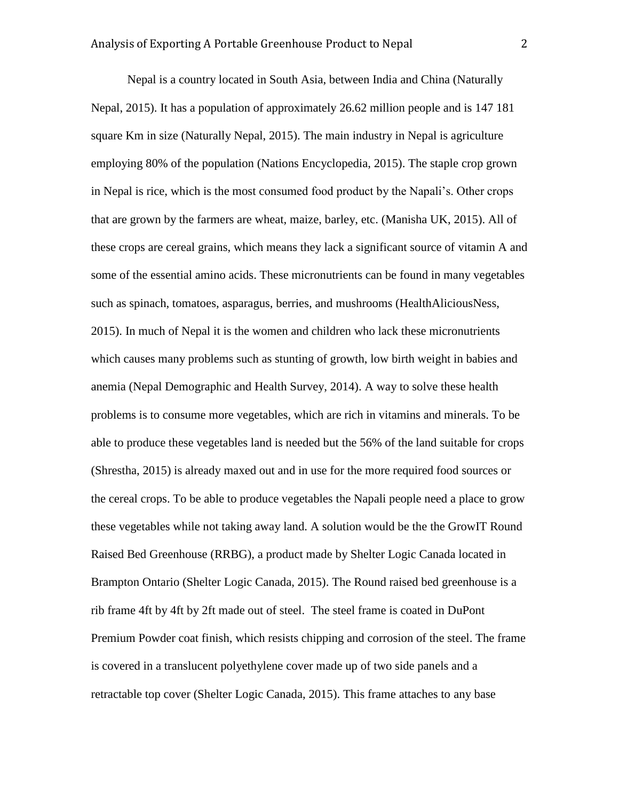Nepal is a country located in South Asia, between India and China (Naturally Nepal, 2015). It has a population of approximately 26.62 million people and is 147 181 square Km in size (Naturally Nepal, 2015). The main industry in Nepal is agriculture employing 80% of the population (Nations Encyclopedia, 2015). The staple crop grown in Nepal is rice, which is the most consumed food product by the Napali's. Other crops that are grown by the farmers are wheat, maize, barley, etc. (Manisha UK, 2015). All of these crops are cereal grains, which means they lack a significant source of vitamin A and some of the essential amino acids. These micronutrients can be found in many vegetables such as spinach, tomatoes, asparagus, berries, and mushrooms (HealthAliciousNess, 2015). In much of Nepal it is the women and children who lack these micronutrients which causes many problems such as stunting of growth, low birth weight in babies and anemia (Nepal Demographic and Health Survey, 2014). A way to solve these health problems is to consume more vegetables, which are rich in vitamins and minerals. To be able to produce these vegetables land is needed but the 56% of the land suitable for crops (Shrestha, 2015) is already maxed out and in use for the more required food sources or the cereal crops. To be able to produce vegetables the Napali people need a place to grow these vegetables while not taking away land. A solution would be the the GrowIT Round Raised Bed Greenhouse (RRBG), a product made by Shelter Logic Canada located in Brampton Ontario (Shelter Logic Canada, 2015). The Round raised bed greenhouse is a rib frame 4ft by 4ft by 2ft made out of steel. The steel frame is coated in DuPont Premium Powder coat finish, which resists chipping and corrosion of the steel. The frame is covered in a translucent polyethylene cover made up of two side panels and a retractable top cover (Shelter Logic Canada, 2015). This frame attaches to any base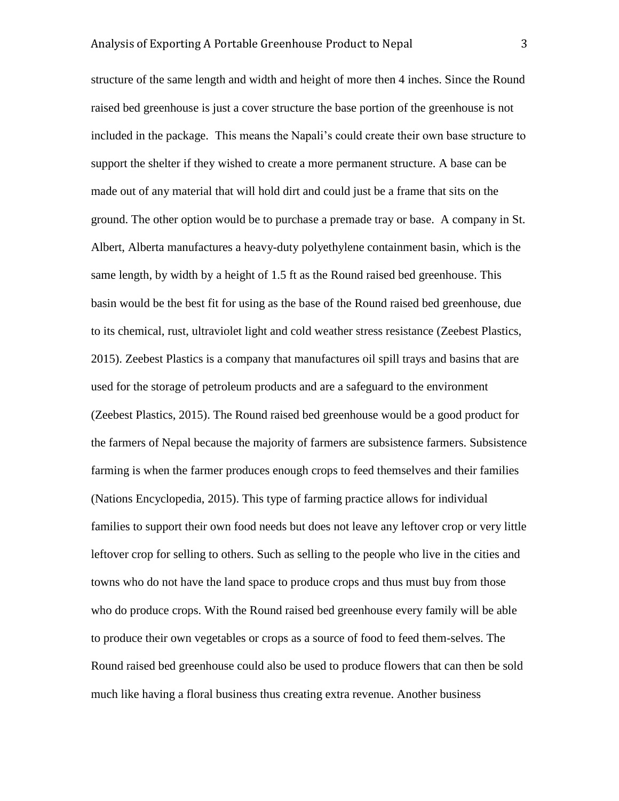structure of the same length and width and height of more then 4 inches. Since the Round raised bed greenhouse is just a cover structure the base portion of the greenhouse is not included in the package. This means the Napali's could create their own base structure to support the shelter if they wished to create a more permanent structure. A base can be made out of any material that will hold dirt and could just be a frame that sits on the ground. The other option would be to purchase a premade tray or base. A company in St. Albert, Alberta manufactures a heavy-duty polyethylene containment basin, which is the same length, by width by a height of 1.5 ft as the Round raised bed greenhouse. This basin would be the best fit for using as the base of the Round raised bed greenhouse, due to its chemical, rust, ultraviolet light and cold weather stress resistance (Zeebest Plastics, 2015). Zeebest Plastics is a company that manufactures oil spill trays and basins that are used for the storage of petroleum products and are a safeguard to the environment (Zeebest Plastics, 2015). The Round raised bed greenhouse would be a good product for the farmers of Nepal because the majority of farmers are subsistence farmers. Subsistence farming is when the farmer produces enough crops to feed themselves and their families (Nations Encyclopedia, 2015). This type of farming practice allows for individual families to support their own food needs but does not leave any leftover crop or very little leftover crop for selling to others. Such as selling to the people who live in the cities and towns who do not have the land space to produce crops and thus must buy from those who do produce crops. With the Round raised bed greenhouse every family will be able to produce their own vegetables or crops as a source of food to feed them-selves. The Round raised bed greenhouse could also be used to produce flowers that can then be sold much like having a floral business thus creating extra revenue. Another business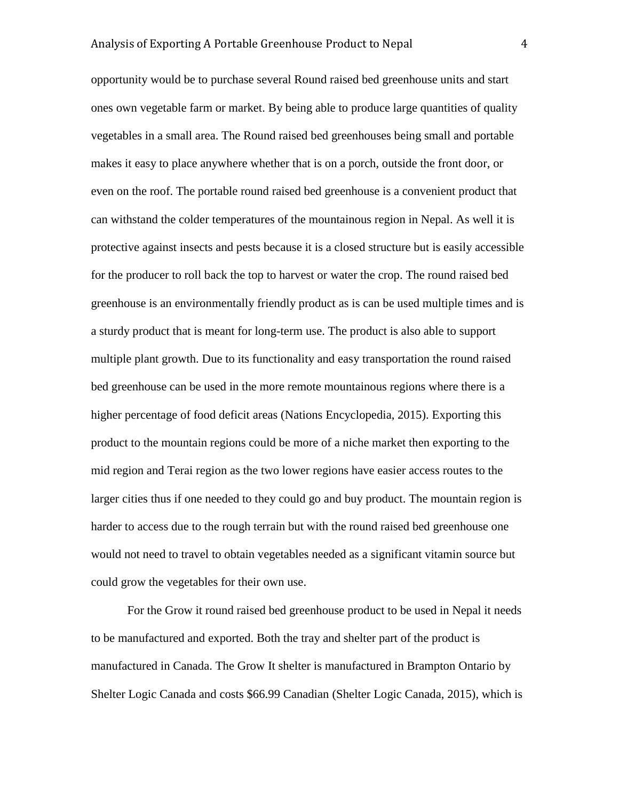opportunity would be to purchase several Round raised bed greenhouse units and start ones own vegetable farm or market. By being able to produce large quantities of quality vegetables in a small area. The Round raised bed greenhouses being small and portable makes it easy to place anywhere whether that is on a porch, outside the front door, or even on the roof. The portable round raised bed greenhouse is a convenient product that can withstand the colder temperatures of the mountainous region in Nepal. As well it is protective against insects and pests because it is a closed structure but is easily accessible for the producer to roll back the top to harvest or water the crop. The round raised bed greenhouse is an environmentally friendly product as is can be used multiple times and is a sturdy product that is meant for long-term use. The product is also able to support multiple plant growth. Due to its functionality and easy transportation the round raised bed greenhouse can be used in the more remote mountainous regions where there is a higher percentage of food deficit areas (Nations Encyclopedia, 2015). Exporting this product to the mountain regions could be more of a niche market then exporting to the mid region and Terai region as the two lower regions have easier access routes to the larger cities thus if one needed to they could go and buy product. The mountain region is harder to access due to the rough terrain but with the round raised bed greenhouse one would not need to travel to obtain vegetables needed as a significant vitamin source but could grow the vegetables for their own use.

For the Grow it round raised bed greenhouse product to be used in Nepal it needs to be manufactured and exported. Both the tray and shelter part of the product is manufactured in Canada. The Grow It shelter is manufactured in Brampton Ontario by Shelter Logic Canada and costs \$66.99 Canadian (Shelter Logic Canada, 2015), which is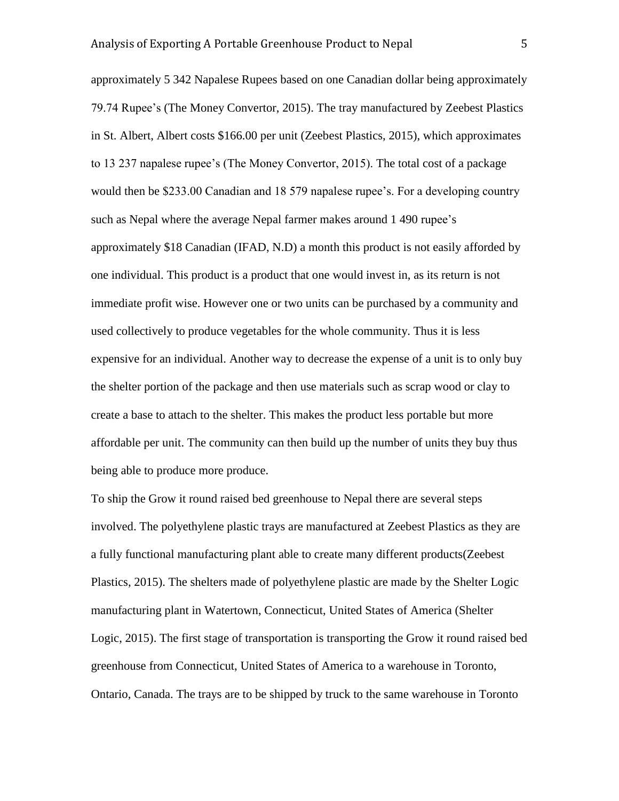approximately 5 342 Napalese Rupees based on one Canadian dollar being approximately 79.74 Rupee's (The Money Convertor, 2015). The tray manufactured by Zeebest Plastics in St. Albert, Albert costs \$166.00 per unit (Zeebest Plastics, 2015), which approximates to 13 237 napalese rupee's (The Money Convertor, 2015). The total cost of a package would then be \$233.00 Canadian and 18 579 napalese rupee's. For a developing country such as Nepal where the average Nepal farmer makes around 1 490 rupee's approximately \$18 Canadian (IFAD, N.D) a month this product is not easily afforded by one individual. This product is a product that one would invest in, as its return is not immediate profit wise. However one or two units can be purchased by a community and used collectively to produce vegetables for the whole community. Thus it is less expensive for an individual. Another way to decrease the expense of a unit is to only buy the shelter portion of the package and then use materials such as scrap wood or clay to create a base to attach to the shelter. This makes the product less portable but more affordable per unit. The community can then build up the number of units they buy thus being able to produce more produce.

To ship the Grow it round raised bed greenhouse to Nepal there are several steps involved. The polyethylene plastic trays are manufactured at Zeebest Plastics as they are a fully functional manufacturing plant able to create many different products(Zeebest Plastics, 2015). The shelters made of polyethylene plastic are made by the Shelter Logic manufacturing plant in Watertown, Connecticut, United States of America (Shelter Logic, 2015). The first stage of transportation is transporting the Grow it round raised bed greenhouse from Connecticut, United States of America to a warehouse in Toronto, Ontario, Canada. The trays are to be shipped by truck to the same warehouse in Toronto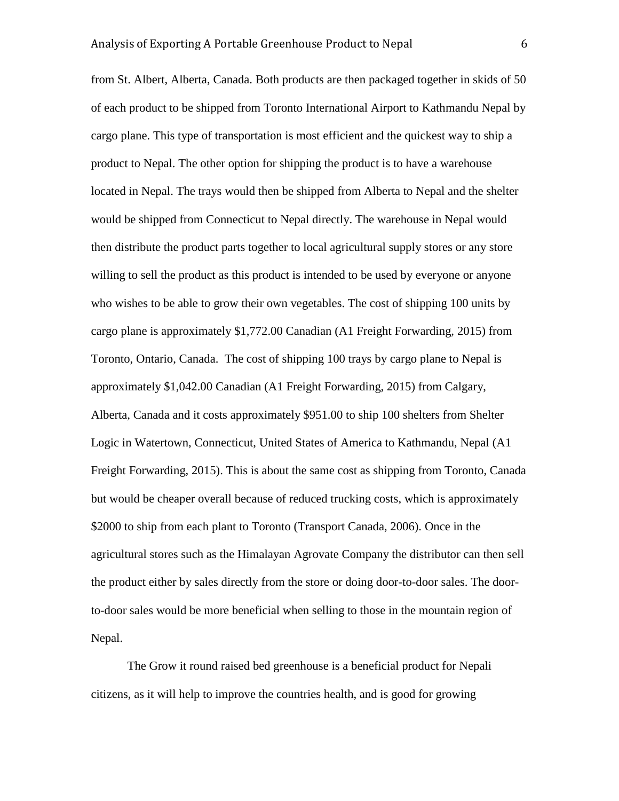from St. Albert, Alberta, Canada. Both products are then packaged together in skids of 50 of each product to be shipped from Toronto International Airport to Kathmandu Nepal by cargo plane. This type of transportation is most efficient and the quickest way to ship a product to Nepal. The other option for shipping the product is to have a warehouse located in Nepal. The trays would then be shipped from Alberta to Nepal and the shelter would be shipped from Connecticut to Nepal directly. The warehouse in Nepal would then distribute the product parts together to local agricultural supply stores or any store willing to sell the product as this product is intended to be used by everyone or anyone who wishes to be able to grow their own vegetables. The cost of shipping 100 units by cargo plane is approximately \$1,772.00 Canadian (A1 Freight Forwarding, 2015) from Toronto, Ontario, Canada. The cost of shipping 100 trays by cargo plane to Nepal is approximately \$1,042.00 Canadian (A1 Freight Forwarding, 2015) from Calgary, Alberta, Canada and it costs approximately \$951.00 to ship 100 shelters from Shelter Logic in Watertown, Connecticut, United States of America to Kathmandu, Nepal (A1 Freight Forwarding, 2015). This is about the same cost as shipping from Toronto, Canada but would be cheaper overall because of reduced trucking costs, which is approximately \$2000 to ship from each plant to Toronto (Transport Canada, 2006). Once in the agricultural stores such as the Himalayan Agrovate Company the distributor can then sell the product either by sales directly from the store or doing door-to-door sales. The doorto-door sales would be more beneficial when selling to those in the mountain region of Nepal.

The Grow it round raised bed greenhouse is a beneficial product for Nepali citizens, as it will help to improve the countries health, and is good for growing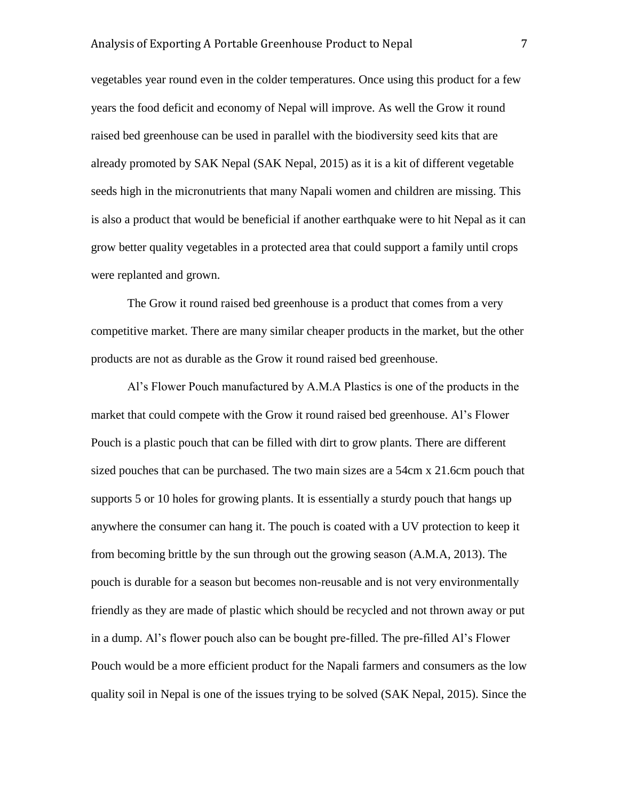vegetables year round even in the colder temperatures. Once using this product for a few years the food deficit and economy of Nepal will improve. As well the Grow it round raised bed greenhouse can be used in parallel with the biodiversity seed kits that are already promoted by SAK Nepal (SAK Nepal, 2015) as it is a kit of different vegetable seeds high in the micronutrients that many Napali women and children are missing. This is also a product that would be beneficial if another earthquake were to hit Nepal as it can grow better quality vegetables in a protected area that could support a family until crops were replanted and grown.

The Grow it round raised bed greenhouse is a product that comes from a very competitive market. There are many similar cheaper products in the market, but the other products are not as durable as the Grow it round raised bed greenhouse.

Al's Flower Pouch manufactured by A.M.A Plastics is one of the products in the market that could compete with the Grow it round raised bed greenhouse. Al's Flower Pouch is a plastic pouch that can be filled with dirt to grow plants. There are different sized pouches that can be purchased. The two main sizes are a 54cm x 21.6cm pouch that supports 5 or 10 holes for growing plants. It is essentially a sturdy pouch that hangs up anywhere the consumer can hang it. The pouch is coated with a UV protection to keep it from becoming brittle by the sun through out the growing season (A.M.A, 2013). The pouch is durable for a season but becomes non-reusable and is not very environmentally friendly as they are made of plastic which should be recycled and not thrown away or put in a dump. Al's flower pouch also can be bought pre-filled. The pre-filled Al's Flower Pouch would be a more efficient product for the Napali farmers and consumers as the low quality soil in Nepal is one of the issues trying to be solved (SAK Nepal, 2015). Since the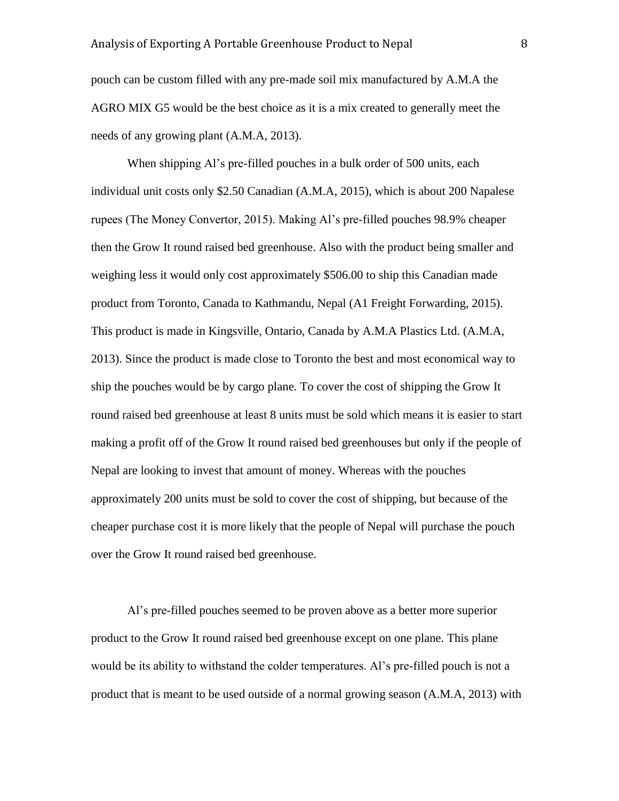pouch can be custom filled with any pre-made soil mix manufactured by A.M.A the AGRO MIX G5 would be the best choice as it is a mix created to generally meet the needs of any growing plant (A.M.A, 2013).

When shipping Al's pre-filled pouches in a bulk order of 500 units, each individual unit costs only \$2.50 Canadian (A.M.A, 2015), which is about 200 Napalese rupees (The Money Convertor, 2015). Making Al's pre-filled pouches 98.9% cheaper then the Grow It round raised bed greenhouse. Also with the product being smaller and weighing less it would only cost approximately \$506.00 to ship this Canadian made product from Toronto, Canada to Kathmandu, Nepal (A1 Freight Forwarding, 2015). This product is made in Kingsville, Ontario, Canada by A.M.A Plastics Ltd. (A.M.A, 2013). Since the product is made close to Toronto the best and most economical way to ship the pouches would be by cargo plane. To cover the cost of shipping the Grow It round raised bed greenhouse at least 8 units must be sold which means it is easier to start making a profit off of the Grow It round raised bed greenhouses but only if the people of Nepal are looking to invest that amount of money. Whereas with the pouches approximately 200 units must be sold to cover the cost of shipping, but because of the cheaper purchase cost it is more likely that the people of Nepal will purchase the pouch over the Grow It round raised bed greenhouse.

Al's pre-filled pouches seemed to be proven above as a better more superior product to the Grow It round raised bed greenhouse except on one plane. This plane would be its ability to withstand the colder temperatures. Al's pre-filled pouch is not a product that is meant to be used outside of a normal growing season (A.M.A, 2013) with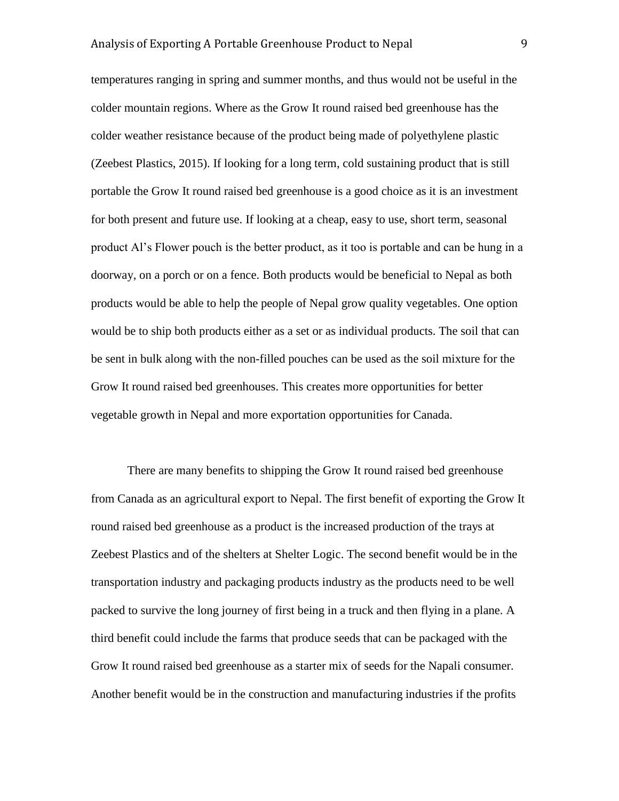temperatures ranging in spring and summer months, and thus would not be useful in the colder mountain regions. Where as the Grow It round raised bed greenhouse has the colder weather resistance because of the product being made of polyethylene plastic (Zeebest Plastics, 2015). If looking for a long term, cold sustaining product that is still portable the Grow It round raised bed greenhouse is a good choice as it is an investment for both present and future use. If looking at a cheap, easy to use, short term, seasonal product Al's Flower pouch is the better product, as it too is portable and can be hung in a doorway, on a porch or on a fence. Both products would be beneficial to Nepal as both products would be able to help the people of Nepal grow quality vegetables. One option would be to ship both products either as a set or as individual products. The soil that can be sent in bulk along with the non-filled pouches can be used as the soil mixture for the Grow It round raised bed greenhouses. This creates more opportunities for better vegetable growth in Nepal and more exportation opportunities for Canada.

There are many benefits to shipping the Grow It round raised bed greenhouse from Canada as an agricultural export to Nepal. The first benefit of exporting the Grow It round raised bed greenhouse as a product is the increased production of the trays at Zeebest Plastics and of the shelters at Shelter Logic. The second benefit would be in the transportation industry and packaging products industry as the products need to be well packed to survive the long journey of first being in a truck and then flying in a plane. A third benefit could include the farms that produce seeds that can be packaged with the Grow It round raised bed greenhouse as a starter mix of seeds for the Napali consumer. Another benefit would be in the construction and manufacturing industries if the profits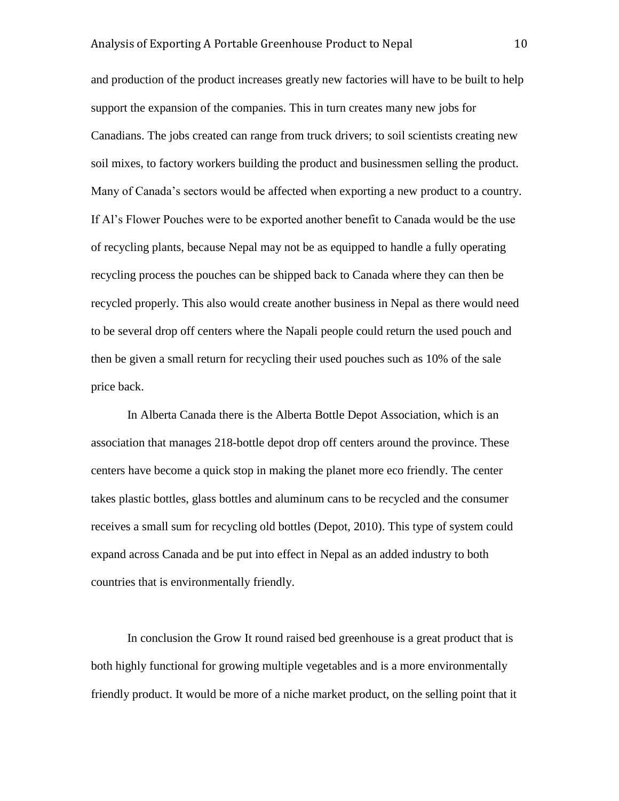and production of the product increases greatly new factories will have to be built to help support the expansion of the companies. This in turn creates many new jobs for Canadians. The jobs created can range from truck drivers; to soil scientists creating new soil mixes, to factory workers building the product and businessmen selling the product. Many of Canada's sectors would be affected when exporting a new product to a country. If Al's Flower Pouches were to be exported another benefit to Canada would be the use of recycling plants, because Nepal may not be as equipped to handle a fully operating recycling process the pouches can be shipped back to Canada where they can then be recycled properly. This also would create another business in Nepal as there would need to be several drop off centers where the Napali people could return the used pouch and then be given a small return for recycling their used pouches such as 10% of the sale price back.

In Alberta Canada there is the Alberta Bottle Depot Association, which is an association that manages 218-bottle depot drop off centers around the province. These centers have become a quick stop in making the planet more eco friendly. The center takes plastic bottles, glass bottles and aluminum cans to be recycled and the consumer receives a small sum for recycling old bottles (Depot, 2010). This type of system could expand across Canada and be put into effect in Nepal as an added industry to both countries that is environmentally friendly.

In conclusion the Grow It round raised bed greenhouse is a great product that is both highly functional for growing multiple vegetables and is a more environmentally friendly product. It would be more of a niche market product, on the selling point that it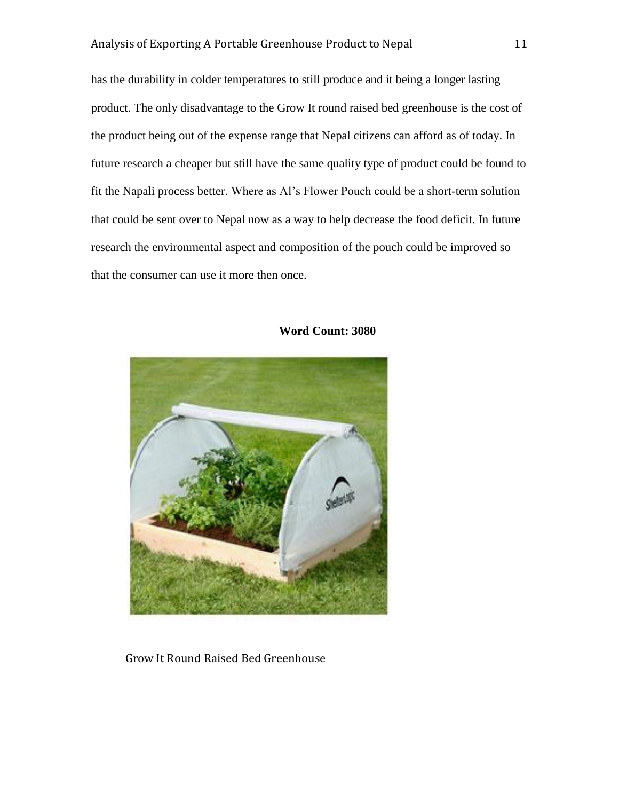has the durability in colder temperatures to still produce and it being a longer lasting product. The only disadvantage to the Grow It round raised bed greenhouse is the cost of the product being out of the expense range that Nepal citizens can afford as of today. In future research a cheaper but still have the same quality type of product could be found to fit the Napali process better. Where as Al's Flower Pouch could be a short-term solution that could be sent over to Nepal now as a way to help decrease the food deficit. In future research the environmental aspect and composition of the pouch could be improved so that the consumer can use it more then once.



**Word Count: 3080**

Grow It Round Raised Bed Greenhouse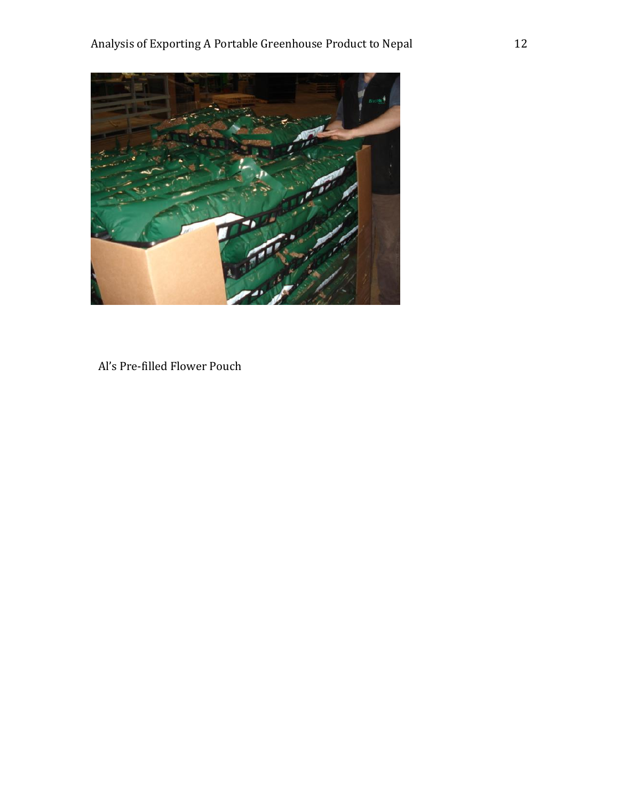

Al's Pre-filled Flower Pouch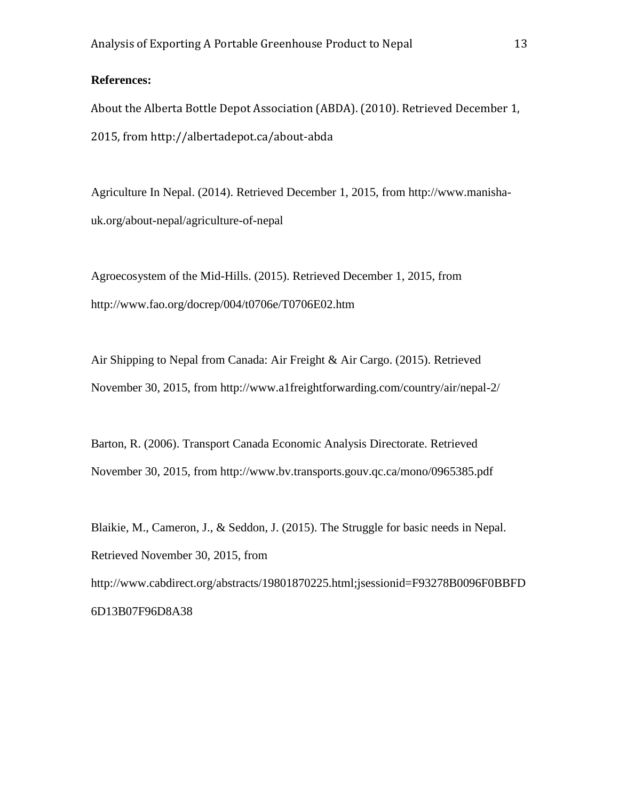## **References:**

About the Alberta Bottle Depot Association (ABDA). (2010). Retrieved December 1, 2015, from http://albertadepot.ca/about-abda

Agriculture In Nepal. (2014). Retrieved December 1, 2015, from http://www.manishauk.org/about-nepal/agriculture-of-nepal

Agroecosystem of the Mid-Hills. (2015). Retrieved December 1, 2015, from http://www.fao.org/docrep/004/t0706e/T0706E02.htm

Air Shipping to Nepal from Canada: Air Freight & Air Cargo. (2015). Retrieved November 30, 2015, from<http://www.a1freightforwarding.com/country/air/nepal-2/>

Barton, R. (2006). Transport Canada Economic Analysis Directorate. Retrieved November 30, 2015, from http://www.bv.transports.gouv.qc.ca/mono/0965385.pdf

Blaikie, M., Cameron, J., & Seddon, J. (2015). The Struggle for basic needs in Nepal. Retrieved November 30, 2015, from [http://www.cabdirect.org/abstracts/19801870225.html;jsessionid=F93278B0096F0BBFD](http://www.cabdirect.org/abstracts/19801870225.html;jsessionid=F93278B0096F0BBFD6D13B07F96D8A38) [6D13B07F96D8A38](http://www.cabdirect.org/abstracts/19801870225.html;jsessionid=F93278B0096F0BBFD6D13B07F96D8A38)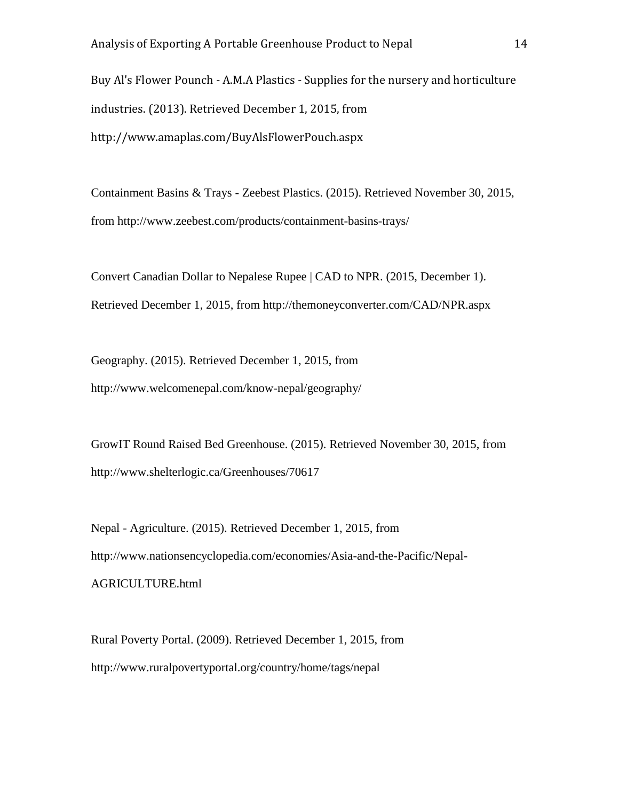Buy Al's Flower Pounch - A.M.A Plastics - Supplies for the nursery and horticulture industries. (2013). Retrieved December 1, 2015, from http://www.amaplas.com/BuyAlsFlowerPouch.aspx

Containment Basins & Trays - Zeebest Plastics. (2015). Retrieved November 30, 2015, from http://www.zeebest.com/products/containment-basins-trays/

Convert Canadian Dollar to Nepalese Rupee | CAD to NPR. (2015, December 1). Retrieved December 1, 2015, from http://themoneyconverter.com/CAD/NPR.aspx

Geography. (2015). Retrieved December 1, 2015, from <http://www.welcomenepal.com/know-nepal/geography/>

GrowIT Round Raised Bed Greenhouse. (2015). Retrieved November 30, 2015, from <http://www.shelterlogic.ca/Greenhouses/70617>

Nepal - Agriculture. (2015). Retrieved December 1, 2015, from http://www.nationsencyclopedia.com/economies/Asia-and-the-Pacific/Nepal-AGRICULTURE.html

Rural Poverty Portal. (2009). Retrieved December 1, 2015, from http://www.ruralpovertyportal.org/country/home/tags/nepal